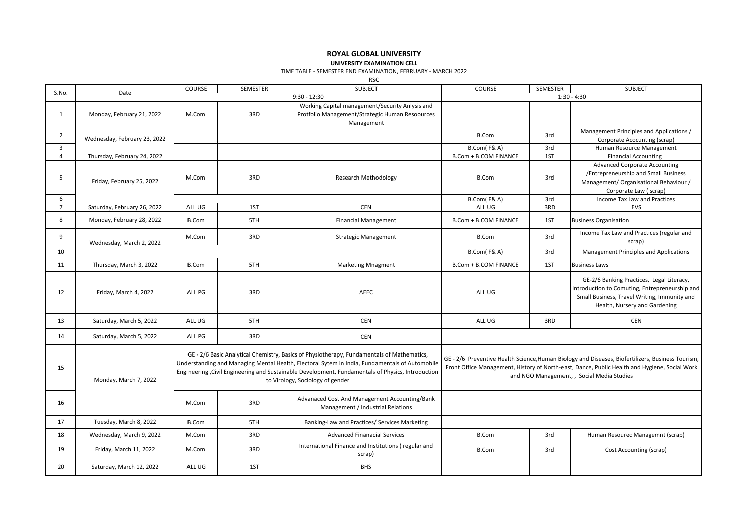## **ROYAL GLOBAL UNIVERSITY UNIVERSITY EXAMINATION CELL**

TIME TABLE - SEMESTER END EXAMINATION, FEBRUARY - MARCH 2022

RSC

| S.No.          | Date                         | COURSE         | SEMESTER | <b>SUBJECT</b>                                                                                                                                                                                                                                                                                                                        | COURSE                                                                                                                                                                                                                                           | SEMESTER | <b>SUBJECT</b>                                                                                                                                                               |  |
|----------------|------------------------------|----------------|----------|---------------------------------------------------------------------------------------------------------------------------------------------------------------------------------------------------------------------------------------------------------------------------------------------------------------------------------------|--------------------------------------------------------------------------------------------------------------------------------------------------------------------------------------------------------------------------------------------------|----------|------------------------------------------------------------------------------------------------------------------------------------------------------------------------------|--|
|                |                              | $9:30 - 12:30$ |          |                                                                                                                                                                                                                                                                                                                                       | $1:30 - 4:30$                                                                                                                                                                                                                                    |          |                                                                                                                                                                              |  |
| 1              | Monday, February 21, 2022    | M.Com          | 3RD      | Working Capital management/Security Anlysis and<br>Protfolio Management/Strategic Human Resoources<br>Management                                                                                                                                                                                                                      |                                                                                                                                                                                                                                                  |          |                                                                                                                                                                              |  |
| $\overline{2}$ | Wednesday, February 23, 2022 |                |          |                                                                                                                                                                                                                                                                                                                                       | B.Com                                                                                                                                                                                                                                            | 3rd      | Management Principles and Applications /<br>Corporate Acocunting (scrap)                                                                                                     |  |
| 3              |                              |                |          |                                                                                                                                                                                                                                                                                                                                       | <b>B.Com(F&amp;A)</b>                                                                                                                                                                                                                            | 3rd      | Human Resource Management                                                                                                                                                    |  |
| $\overline{4}$ | Thursday, February 24, 2022  |                |          |                                                                                                                                                                                                                                                                                                                                       | <b>B.Com + B.COM FINANCE</b>                                                                                                                                                                                                                     | 1ST      | <b>Financial Accounting</b>                                                                                                                                                  |  |
| 5              | Friday, February 25, 2022    | M.Com          | 3RD      | <b>Research Methodology</b>                                                                                                                                                                                                                                                                                                           | <b>B.Com</b>                                                                                                                                                                                                                                     | 3rd      | <b>Advanced Corporate Accounting</b><br>/Entrepreneurship and Small Business<br>Management/ Organisational Behaviour /<br>Corporate Law (scrap)                              |  |
| 6              |                              |                |          |                                                                                                                                                                                                                                                                                                                                       | B.Com(F&A)                                                                                                                                                                                                                                       | 3rd      | Income Tax Law and Practices                                                                                                                                                 |  |
| $\overline{7}$ | Saturday, February 26, 2022  | ALL UG         | 1ST      | <b>CEN</b>                                                                                                                                                                                                                                                                                                                            | ALL UG                                                                                                                                                                                                                                           | 3RD      | EVS                                                                                                                                                                          |  |
| 8              | Monday, February 28, 2022    | <b>B.Com</b>   | 5TH      | <b>Financial Management</b>                                                                                                                                                                                                                                                                                                           | <b>B.Com + B.COM FINANCE</b>                                                                                                                                                                                                                     | 1ST      | <b>Business Organisation</b>                                                                                                                                                 |  |
| 9              | Wednesday, March 2, 2022     | M.Com          | 3RD      | <b>Strategic Management</b>                                                                                                                                                                                                                                                                                                           | <b>B.Com</b>                                                                                                                                                                                                                                     | 3rd      | Income Tax Law and Practices (regular and<br>scrap)                                                                                                                          |  |
| 10             |                              |                |          |                                                                                                                                                                                                                                                                                                                                       | B.Com(F&A)                                                                                                                                                                                                                                       | 3rd      | <b>Management Principles and Applications</b>                                                                                                                                |  |
| 11             | Thursday, March 3, 2022      | <b>B.Com</b>   | 5TH      | <b>Marketing Mnagment</b>                                                                                                                                                                                                                                                                                                             | B.Com + B.COM FINANCE                                                                                                                                                                                                                            | 1ST      | <b>Business Laws</b>                                                                                                                                                         |  |
| 12             | Friday, March 4, 2022        | ALL PG         | 3RD      | AEEC                                                                                                                                                                                                                                                                                                                                  | ALL UG                                                                                                                                                                                                                                           |          | GE-2/6 Banking Practices, Legal Literacy,<br>Introduction to Comuting, Entrepreneurship and<br>Small Business, Travel Writing, Immunity and<br>Health, Nursery and Gardening |  |
| 13             | Saturday, March 5, 2022      | ALL UG         | 5TH      | <b>CEN</b>                                                                                                                                                                                                                                                                                                                            | ALL UG                                                                                                                                                                                                                                           | 3RD      | <b>CEN</b>                                                                                                                                                                   |  |
| 14             | Saturday, March 5, 2022      | ALL PG         | 3RD      | <b>CEN</b>                                                                                                                                                                                                                                                                                                                            |                                                                                                                                                                                                                                                  |          |                                                                                                                                                                              |  |
| 15             | Monday, March 7, 2022        |                |          | GE - 2/6 Basic Analytical Chemistry, Basics of Physiotherapy, Fundamentals of Mathematics,<br>Understanding and Managing Mental Health, Electoral Sytem in India, Fundamentals of Automobile<br>Engineering, Civil Engineering and Sustainable Development, Fundamentals of Physics, Introduction<br>to Virology, Sociology of gender | GE - 2/6 Preventive Health Science, Human Biology and Diseases, Biofertilizers, Business Tourism,<br>Front Office Management, History of North-east, Dance, Public Health and Hygiene, Social Work<br>and NGO Management, , Social Media Studies |          |                                                                                                                                                                              |  |
| 16             |                              | M.Com          | 3RD      | Advanaced Cost And Management Accounting/Bank<br>Management / Industrial Relations                                                                                                                                                                                                                                                    |                                                                                                                                                                                                                                                  |          |                                                                                                                                                                              |  |
| 17             | Tuesday, March 8, 2022       | <b>B.Com</b>   | 5TH      | Banking-Law and Practices/ Services Marketing                                                                                                                                                                                                                                                                                         |                                                                                                                                                                                                                                                  |          |                                                                                                                                                                              |  |
| 18             | Wednesday, March 9, 2022     | M.Com          | 3RD      | <b>Advanced Finanacial Services</b>                                                                                                                                                                                                                                                                                                   | <b>B.Com</b>                                                                                                                                                                                                                                     | 3rd      | Human Resourec Managemnt (scrap)                                                                                                                                             |  |
| 19             | Friday, March 11, 2022       | M.Com          | 3RD      | International Finance and Institutions (regular and<br>scrap)                                                                                                                                                                                                                                                                         | B.Com                                                                                                                                                                                                                                            | 3rd      | Cost Accounting (scrap)                                                                                                                                                      |  |
| 20             | Saturday, March 12, 2022     | ALL UG         | 1ST      | <b>BHS</b>                                                                                                                                                                                                                                                                                                                            |                                                                                                                                                                                                                                                  |          |                                                                                                                                                                              |  |